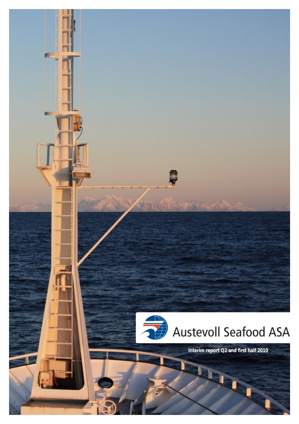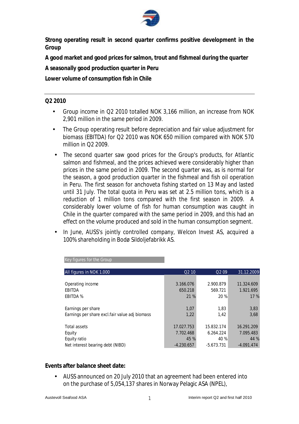

**Strong operating result in second quarter confirms positive development in the Group**

**A good market and good prices for salmon, trout and fishmeal during the quarter** 

**A seasonally good production quarter in Peru** 

**Lower volume of consumption fish in Chile** 

#### **Q2 2010**

- Group income in Q2 2010 totalled NOK 3,166 million, an increase from NOK 2,901 million in the same period in 2009.
- The Group operating result before depreciation and fair value adjustment for biomass (EBITDA) for Q2 2010 was NOK 650 million compared with NOK 570 million in Q2 2009.
- The second quarter saw good prices for the Group's products, for Atlantic salmon and fishmeal, and the prices achieved were considerably higher than prices in the same period in 2009. The second quarter was, as is normal for the season, a good production quarter in the fishmeal and fish oil operation in Peru. The first season for anchoveta fishing started on 13 May and lasted until 31 July. The total quota in Peru was set at 2.5 million tons, which is a reduction of 1 million tons compared with the first season in 2009. A considerably lower volume of fish for human consumption was caught in Chile in the quarter compared with the same period in 2009, and this had an effect on the volume produced and sold in the human consumption segment.
- In June, AUSS's jointly controlled company, Welcon Invest AS, acquired a 100% shareholding in Bodø Sildoljefabrikk AS.

| All figures in NOK 1.000                       | O <sub>2</sub> 10 | Q <sub>2</sub> 09 | 31.12.2009   |
|------------------------------------------------|-------------------|-------------------|--------------|
|                                                |                   |                   |              |
| Operating income                               | 3.166.076         | 2.900.879         | 11.324.609   |
| <b>EBITDA</b>                                  | 650.218           | 569.721           | 1.921.695    |
| <b>EBITDA %</b>                                | 21 %              | 20 %              | 17%          |
|                                                |                   |                   |              |
| Earnings per share                             | 1,07              | 1,83              | 3,83         |
| Earnings per share excl.fair value adj biomass | 1,22              | 1,42              | 3,68         |
|                                                |                   |                   |              |
| <b>Total assets</b>                            | 17.027.753        | 15.832.174        | 16.291.209   |
| Equity                                         | 7.702.468         | 6.264.224         | 7.095.483    |
| Equity ratio                                   | 45 %              | 40 %              | 44 %         |
| Net interest bearing debt (NIBD)               | $-4.230.657$      | $-5.673.731$      | $-4.091.474$ |

Key figures for the Group

**Events after balance sheet date:** 

• AUSS announced on 20 July 2010 that an agreement had been entered into on the purchase of 5,054,137 shares in Norway Pelagic ASA (NPEL),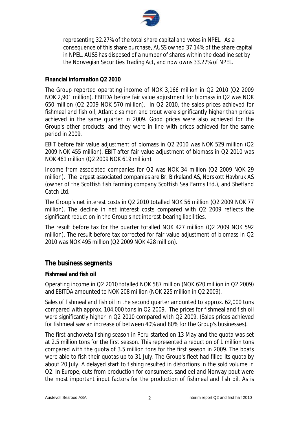

representing 32.27% of the total share capital and votes in NPEL. As a consequence of this share purchase, AUSS owned 37.14% of the share capital in NPEL. AUSS has disposed of a number of shares within the deadline set by the Norwegian Securities Trading Act, and now owns 33.27% of NPEL.

#### **Financial information Q2 2010**

The Group reported operating income of NOK 3,166 million in Q2 2010 (Q2 2009 NOK 2,901 million). EBITDA before fair value adjustment for biomass in Q2 was NOK 650 million (Q2 2009 NOK 570 million). In Q2 2010, the sales prices achieved for fishmeal and fish oil, Atlantic salmon and trout were significantly higher than prices achieved in the same quarter in 2009. Good prices were also achieved for the Group's other products, and they were in line with prices achieved for the same period in 2009.

EBIT before fair value adjustment of biomass in Q2 2010 was NOK 529 million (Q2 2009 NOK 455 million). EBIT after fair value adjustment of biomass in Q2 2010 was NOK 461 million (Q2 2009 NOK 619 million).

Income from associated companies for Q2 was NOK 34 million (Q2 2009 NOK 29 million). The largest associated companies are Br. Birkeland AS, Norskott Havbruk AS (owner of the Scottish fish farming company Scottish Sea Farms Ltd.), and Shetland Catch Ltd.

The Group's net interest costs in Q2 2010 totalled NOK 56 million (Q2 2009 NOK 77 million). The decline in net interest costs compared with Q2 2009 reflects the significant reduction in the Group's net interest-bearing liabilities.

The result before tax for the quarter totalled NOK 427 million (Q2 2009 NOK 592 million). The result before tax corrected for fair value adjustment of biomass in Q2 2010 was NOK 495 million (Q2 2009 NOK 428 million).

# **The business segments**

### **Fishmeal and fish oil**

Operating income in Q2 2010 totalled NOK 587 million (NOK 620 million in Q2 2009) and EBITDA amounted to NOK 208 million (NOK 225 million in Q2 2009).

Sales of fishmeal and fish oil in the second quarter amounted to approx. 62,000 tons compared with approx. 104,000 tons in Q2 2009. The prices for fishmeal and fish oil were significantly higher in Q2 2010 compared with Q2 2009. (Sales prices achieved for fishmeal saw an increase of between 40% and 80% for the Group's businesses).

The first anchoveta fishing season in Peru started on 13 May and the quota was set at 2.5 million tons for the first season. This represented a reduction of 1 million tons compared with the quota of 3.5 million tons for the first season in 2009. The boats were able to fish their quotas up to 31 July. The Group's fleet had filled its quota by about 20 July. A delayed start to fishing resulted in distortions in the sold volume in Q2. In Europe, cuts from production for consumers, sand eel and Norway pout were the most important input factors for the production of fishmeal and fish oil. As is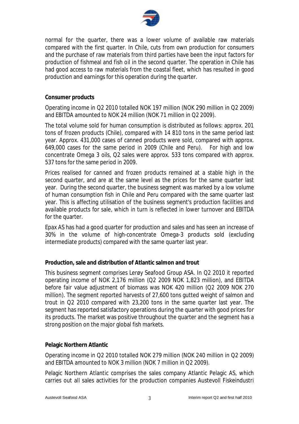

normal for the quarter, there was a lower volume of available raw materials compared with the first quarter. In Chile, cuts from own production for consumers and the purchase of raw materials from third parties have been the input factors for production of fishmeal and fish oil in the second quarter. The operation in Chile has had good access to raw materials from the coastal fleet, which has resulted in good production and earnings for this operation during the quarter.

#### **Consumer products**

Operating income in Q2 2010 totalled NOK 197 million (NOK 290 million in Q2 2009) and EBITDA amounted to NOK 24 million (NOK 71 million in Q2 2009).

The total volume sold for human consumption is distributed as follows: approx. 201 tons of frozen products (Chile), compared with 14 810 tons in the same period last year. Approx. 431,000 cases of canned products were sold, compared with approx. 649,000 cases for the same period in 2009 (Chile and Peru). For high and low concentrate Omega 3 oils, Q2 sales were approx. 533 tons compared with approx. 537 tons for the same period in 2009.

Prices realised for canned and frozen products remained at a stable high in the second quarter, and are at the same level as the prices for the same quarter last year. During the second quarter, the business segment was marked by a low volume of human consumption fish in Chile and Peru compared with the same quarter last year. This is affecting utilisation of the business segment's production facilities and available products for sale, which in turn is reflected in lower turnover and EBITDA for the quarter.

Epax AS has had a good quarter for production and sales and has seen an increase of 30% in the volume of high-concentrate Omega-3 products sold (excluding intermediate products) compared with the same quarter last year.

### **Production, sale and distribution of Atlantic salmon and trout**

This business segment comprises Lerøy Seafood Group ASA. In Q2 2010 it reported operating income of NOK 2,176 million (Q2 2009 NOK 1,823 million), and EBITDA before fair value adjustment of biomass was NOK 420 million (Q2 2009 NOK 270 million). The segment reported harvests of 27,600 tons gutted weight of salmon and trout in Q2 2010 compared with 23,200 tons in the same quarter last year. The segment has reported satisfactory operations during the quarter with good prices for its products. The market was positive throughout the quarter and the segment has a strong position on the major global fish markets.

#### **Pelagic Northern Atlantic**

Operating income in Q2 2010 totalled NOK 279 million (NOK 240 million in Q2 2009) and EBITDA amounted to NOK 3 million (NOK 7 million in Q2 2009).

Pelagic Northern Atlantic comprises the sales company Atlantic Pelagic AS, which carries out all sales activities for the production companies Austevoll Fiskeindustri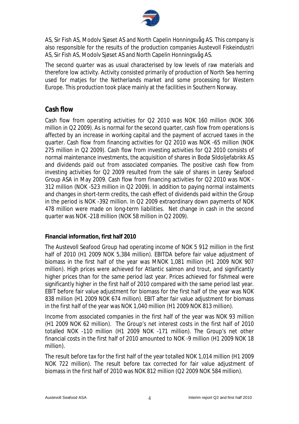

AS, Sir Fish AS, Modolv Sjøset AS and North Capelin Honningsvåg AS. This company is also responsible for the results of the production companies Austevoll Fiskeindustri AS, Sir Fish AS, Modolv Sjøset AS and North Capelin Honningsvåg AS.

The second quarter was as usual characterised by low levels of raw materials and therefore low activity. Activity consisted primarily of production of North Sea herring used for matjes for the Netherlands market and some processing for Western Europe. This production took place mainly at the facilities in Southern Norway.

# **Cash flow**

Cash flow from operating activities for Q2 2010 was NOK 160 million (NOK 306 million in Q2 2009). As is normal for the second quarter, cash flow from operations is affected by an increase in working capital and the payment of accrued taxes in the quarter. Cash flow from financing activities for Q2 2010 was NOK -65 million (NOK 275 million in Q2 2009). Cash flow from investing activities for Q2 2010 consists of normal maintenance investments, the acquisition of shares in Bodø Sildoljefabrikk AS and dividends paid out from associated companies. The positive cash flow from investing activities for Q2 2009 resulted from the sale of shares in Lerøy Seafood Group ASA in May 2009. Cash flow from financing activities for Q2 2010 was NOK - 312 million (NOK -523 million in Q2 2009). In addition to paying normal instalments and changes in short-term credits, the cash effect of dividends paid within the Group in the period is NOK -392 million. In Q2 2009 extraordinary down payments of NOK 478 million were made on long-term liabilities. Net change in cash in the second quarter was NOK -218 million (NOK 58 million in Q2 2009).

### **Financial information, first half 2010**

The Austevoll Seafood Group had operating income of NOK 5 912 million in the first half of 2010 (H1 2009 NOK 5,384 million). EBITDA before fair value adjustment of biomass in the first half of the year was MNOK 1,081 million (H1 2009 NOK 907 million). High prices were achieved for Atlantic salmon and trout, and significantly higher prices than for the same period last year. Prices achieved for fishmeal were significantly higher in the first half of 2010 compared with the same period last year. EBIT before fair value adjustment for biomass for the first half of the year was NOK 838 million (H1 2009 NOK 674 million). EBIT after fair value adjustment for biomass in the first half of the year was NOK 1,040 million (H1 2009 NOK 813 million).

Income from associated companies in the first half of the year was NOK 93 million (H1 2009 NOK 62 million). The Group's net interest costs in the first half of 2010 totalled NOK -110 million (H1 2009 NOK -171 million). The Group's net other financial costs in the first half of 2010 amounted to NOK -9 million (H1 2009 NOK 18 million).

The result before tax for the first half of the year totalled NOK 1,014 million (H1 2009 NOK 722 million). The result before tax corrected for fair value adjustment of biomass in the first half of 2010 was NOK 812 million (Q2 2009 NOK 584 million).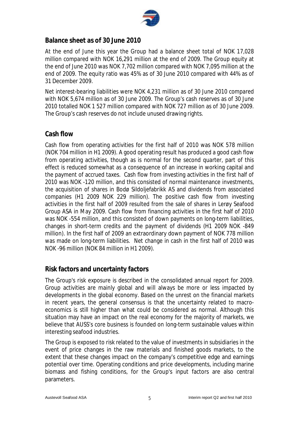

# **Balance sheet as of 30 June 2010**

At the end of June this year the Group had a balance sheet total of NOK 17,028 million compared with NOK 16,291 million at the end of 2009. The Group equity at the end of June 2010 was NOK 7,702 million compared with NOK 7,095 million at the end of 2009. The equity ratio was 45% as of 30 June 2010 compared with 44% as of 31 December 2009.

Net interest-bearing liabilities were NOK 4,231 million as of 30 June 2010 compared with NOK 5,674 million as of 30 June 2009. The Group's cash reserves as of 30 June 2010 totalled NOK 1 527 million compared with NOK 727 million as of 30 June 2009. The Group's cash reserves do not include unused drawing rights.

# **Cash flow**

Cash flow from operating activities for the first half of 2010 was NOK 578 million (NOK 704 million in H1 2009). A good operating result has produced a good cash flow from operating activities, though as is normal for the second quarter, part of this effect is reduced somewhat as a consequence of an increase in working capital and the payment of accrued taxes. Cash flow from investing activities in the first half of 2010 was NOK -120 million, and this consisted of normal maintenance investments, the acquisition of shares in Bodø Sildoljefabrikk AS and dividends from associated companies (H1 2009 NOK 229 million). The positive cash flow from investing activities in the first half of 2009 resulted from the sale of shares in Lerøy Seafood Group ASA in May 2009. Cash flow from financing activities in the first half of 2010 was NOK -554 million, and this consisted of down payments on long-term liabilities, changes in short-term credits and the payment of dividends (H1 2009 NOK -849 million). In the first half of 2009 an extraordinary down payment of NOK 778 million was made on long-term liabilities. Net change in cash in the first half of 2010 was NOK -96 million (NOK 84 million in H1 2009).

# **Risk factors and uncertainty factors**

The Group's risk exposure is described in the consolidated annual report for 2009. Group activities are mainly global and will always be more or less impacted by developments in the global economy. Based on the unrest on the financial markets in recent years, the general consensus is that the uncertainty related to macroeconomics is still higher than what could be considered as normal. Although this situation may have an impact on the real economy for the majority of markets, we believe that AUSS's core business is founded on long-term sustainable values within interesting seafood industries.

The Group is exposed to risk related to the value of investments in subsidiaries in the event of price changes in the raw materials and finished goods markets, to the extent that these changes impact on the company's competitive edge and earnings potential over time. Operating conditions and price developments, including marine biomass and fishing conditions, for the Group's input factors are also central parameters.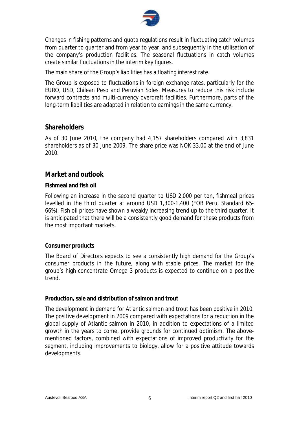

Changes in fishing patterns and quota regulations result in fluctuating catch volumes from quarter to quarter and from year to year, and subsequently in the utilisation of the company's production facilities. The seasonal fluctuations in catch volumes create similar fluctuations in the interim key figures.

The main share of the Group's liabilities has a floating interest rate.

The Group is exposed to fluctuations in foreign exchange rates, particularly for the EURO, USD, Chilean Peso and Peruvian Soles. Measures to reduce this risk include forward contracts and multi-currency overdraft facilities. Furthermore, parts of the long-term liabilities are adapted in relation to earnings in the same currency.

### **Shareholders**

As of 30 June 2010, the company had 4,157 shareholders compared with 3,831 shareholders as of 30 June 2009. The share price was NOK 33.00 at the end of June 2010.

# **Market and outlook**

#### **Fishmeal and fish oil**

Following an increase in the second quarter to USD 2,000 per ton, fishmeal prices levelled in the third quarter at around USD 1,300-1,400 (FOB Peru, Standard 65- 66%). Fish oil prices have shown a weakly increasing trend up to the third quarter. It is anticipated that there will be a consistently good demand for these products from the most important markets.

### **Consumer products**

The Board of Directors expects to see a consistently high demand for the Group's consumer products in the future, along with stable prices. The market for the group's high-concentrate Omega 3 products is expected to continue on a positive trend.

#### **Production, sale and distribution of salmon and trout**

The development in demand for Atlantic salmon and trout has been positive in 2010. The positive development in 2009 compared with expectations for a reduction in the global supply of Atlantic salmon in 2010, in addition to expectations of a limited growth in the years to come, provide grounds for continued optimism. The abovementioned factors, combined with expectations of improved productivity for the segment, including improvements to biology, allow for a positive attitude towards developments.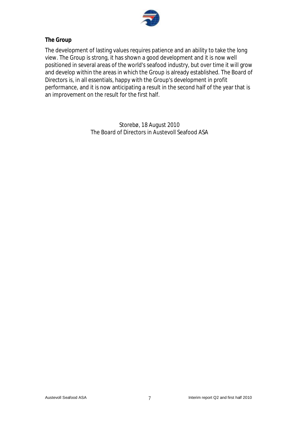

### **The Group**

The development of lasting values requires patience and an ability to take the long view. The Group is strong, it has shown a good development and it is now well positioned in several areas of the world's seafood industry, but over time it will grow and develop within the areas in which the Group is already established. The Board of Directors is, in all essentials, happy with the Group's development in profit performance, and it is now anticipating a result in the second half of the year that is an improvement on the result for the first half.

> Storebø, 18 August 2010 The Board of Directors in Austevoll Seafood ASA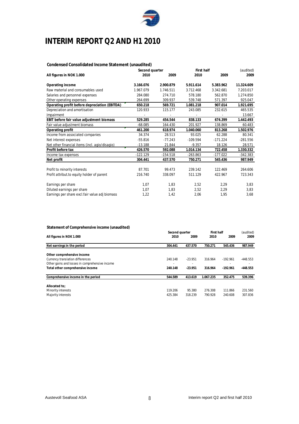

# **INTERIM REPORT Q2 AND H1 2010**

#### **Condensed Consolidated Income Statement (unaudited)**

|                                                | Second quarter |            | First half |            | (audited)  |
|------------------------------------------------|----------------|------------|------------|------------|------------|
| All figures in NOK 1.000                       | 2010           | 2009       | 2010       | 2009       | 2009       |
| Operating income                               | 3.166.076      | 2.900.879  | 5.911.614  | 5.383.962  | 11.324.609 |
| Raw material and consumables used              | 1.967.079      | 1.746.511  | 3.712.468  | 3.342.681  | 7.203.017  |
| Salaries and personnel expenses                | 284.080        | 274.710    | 578.180    | 562.870    | 1.274.850  |
| Other operating expenses                       | 264.699        | 309.937    | 539.748    | 571.397    | 925.047    |
| Operating profit before depreciation (EBITDA)  | 650.218        | 569.721    | 1.081.218  | 907.014    | 1.921.695  |
| Depreciation and amortisation                  | 120.933        | 115.177    | 243.085    | 232.615    | 465.535    |
| Impairment                                     |                |            |            |            | 13.667     |
| EBIT before fair value adjustment biomass      | 529.285        | 454.544    | 838.133    | 674.399    | 1.442.493  |
| Fair value adjustment biomass                  | $-68.085$      | 164.430    | 201.927    | 138.869    | 60.483     |
| Operating profit                               | 461.200        | 618.974    | 1.040.060  | 813.268    | 1.502.976  |
| Income from associated companies               | 34.374         | 28.513     | 93.025     | 62.288     | 80.341     |
| Net interest expenses                          | $-55.816$      | $-77.243$  | $-109.594$ | $-171.224$ | $-281.556$ |
| Net other financial items (incl. agio/disagio) | $-13.188$      | 21.844     | $-9.357$   | 18.126     | 28.571     |
| Profit before tax                              | 426.570        | 592.088    | 1.014.134  | 722.458    | 1.330.332  |
| Income tax expenses                            | $-122.129$     | $-154.518$ | $-263.863$ | $-177.022$ | $-342.383$ |
| Net profit                                     | 304.441        | 437.570    | 750.271    | 545.436    | 987.949    |
| Profit to minority interests                   | 87.701         | 99.473     | 239.142    | 122.469    | 264.606    |
| Profit attribut to equity holder of parent     | 216.740        | 338.097    | 511.129    | 422.967    | 723.343    |
| Earnings per share                             | 1,07           | 1,83       | 2,52       | 2,29       | 3,83       |
| Diluted earnings per share                     | 1,07           | 1,83       | 2,52       | 2,29       | 3,83       |
| Earnings per share excl.fair value adj biomass | 1,22           | 1,42       | 2,06       | 1,95       | 3,68       |

#### **Statement of Comprehensive income (unaudited)**

|                                                |         | Second quarter           |           | First half |            |
|------------------------------------------------|---------|--------------------------|-----------|------------|------------|
| All figures in NOK 1.000                       | 2010    | 2009                     | 2010      | 2009       | 2009       |
| Net earnings in the period                     | 304.441 | 437.570                  | 750.271   | 545.436    | 987.949    |
| Other comprehensive income                     |         |                          |           |            |            |
| <b>Currency translation differences</b>        | 240.148 | $-23.951$                | 316.964   | $-192.961$ | $-448.553$ |
| Other gains and losses in comprehensive income |         | $\overline{\phantom{a}}$ |           |            |            |
| Total other comprehensive income               | 240.148 | $-23.951$                | 316.964   | $-192.961$ | $-448.553$ |
| Comprehensive income in the period             | 544.589 | 413.619                  | 1.067.235 | 352.475    | 539.396    |
| Allocated to:                                  |         |                          |           |            |            |
| Minority interests                             | 119.206 | 95.380                   | 276.308   | 111.866    | 231.560    |
| Majority interests                             | 425.384 | 318.239                  | 790.928   | 240.608    | 307.836    |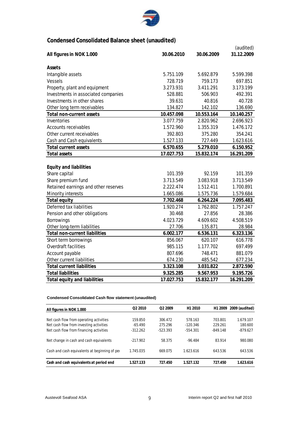

# **Condensed Consolidated Balance sheet (unaudited)**

|                                      |            |            | (audited)  |
|--------------------------------------|------------|------------|------------|
| All figures in NOK 1.000             | 30.06.2010 | 30.06.2009 | 31.12.2009 |
| Assets                               |            |            |            |
| Intangible assets                    | 5.751.109  | 5.692.879  | 5.599.398  |
| <b>Vessels</b>                       | 728.719    | 759.173    | 697.851    |
| Property, plant and equipment        | 3.273.931  | 3.411.291  | 3.173.199  |
| Investments in associated companies  | 528.881    | 506.903    | 492.391    |
| Investments in other shares          | 39.631     | 40.816     | 40.728     |
| Other long term receivables          | 134.827    | 142.102    | 136.690    |
| <b>Total non-current assets</b>      | 10.457.098 | 10.553.164 | 10.140.257 |
| Inventories                          | 3.077.759  | 2.820.962  | 2.696.923  |
| <b>Accounts receivables</b>          | 1.572.960  | 1.355.319  | 1.476.172  |
| Other current receivables            | 392.803    | 375.280    | 354.241    |
| Cash and Cash equivalents            | 1.527.133  | 727.449    | 1.623.616  |
| <b>Total current assets</b>          | 6.570.655  | 5.279.010  | 6.150.952  |
| <b>Total assets</b>                  | 17.027.753 | 15.832.174 | 16.291.209 |
|                                      |            |            |            |
| <b>Equity and liabilities</b>        |            |            |            |
| Share capital                        | 101.359    | 92.159     | 101.359    |
| Share premium fund                   | 3.713.549  | 3.083.918  | 3.713.549  |
| Retained earnings and other reserves | 2.222.474  | 1.512.411  | 1.700.891  |
| <b>Minority interests</b>            | 1.665.086  | 1.575.736  | 1.579.684  |
| <b>Total equity</b>                  | 7.702.468  | 6.264.224  | 7.095.483  |
| Deferred tax liabilities             | 1.920.274  | 1.762.802  | 1.757.247  |
| Pension and other obligations        | 30.468     | 27.856     | 28.386     |
| <b>Borrowings</b>                    | 4.023.729  | 4.609.602  | 4.508.519  |
| Other long-term liabilities          | 27.706     | 135.871    | 28.984     |
| <b>Total non-current liabilities</b> | 6.002.177  | 6.536.131  | 6.323.136  |
| Short term borrowings                | 856.067    | 620.107    | 616.778    |
| <b>Overdraft facilities</b>          | 985.115    | 1.177.702  | 697.499    |
| Account payable                      | 807.696    | 748.471    | 881.079    |
| Other current liabilities            | 674.230    | 485.542    | 677.234    |
| <b>Total current liabilities</b>     | 3.323.108  | 3.031.822  | 2.872.590  |
| <b>Total liabilities</b>             | 9.325.285  | 9.567.953  | 9.195.726  |
| <b>Total equity and liabilities</b>  | 17.027.753 | 15.832.177 | 16.291.209 |

#### **Condensed Consolidated Cash flow statement (unaudited)**

| All figures in NOK 1.000                       | O <sub>2</sub> 2010 | O <sub>2</sub> 2009 | H <sub>1</sub> 2010 | H <sub>1</sub> 2009 | 2009 (audited) |
|------------------------------------------------|---------------------|---------------------|---------------------|---------------------|----------------|
|                                                |                     |                     |                     |                     |                |
| Net cash flow from operating activities        | 159.850             | 306.472             | 578.163             | 703.801             | 1.679.107      |
| Net cash flow from investing activities        | $-65.490$           | 275.296             | $-120.346$          | 229.261             | 180.600        |
| Net cash flow from financing activities        | $-312.262$          | $-523.393$          | $-554.301$          | $-849.148$          | $-879.627$     |
| Net change in cash and cash equivalents        | $-217.902$          | 58.375              | $-96.484$           | 83.914              | 980.080        |
| Cash and cash equivalents at beginning of per- | 1.745.035           | 669.075             | 1.623.616           | 643.536             | 643.536        |
|                                                |                     |                     |                     |                     |                |
| Cash and cash equivalents at period end        | 1.527.133           | 727.450             | 1.527.132           | 727.450             | 1.623.616      |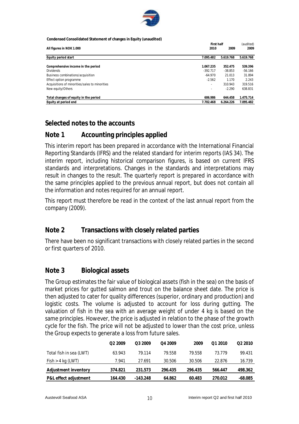

**Condensed Consolidated Statement of changes in Equity (unaudited)**

|                                                |                          | First half |           |  |
|------------------------------------------------|--------------------------|------------|-----------|--|
| All figures in NOK 1.000                       | 2010                     | 2009       | 2009      |  |
| Equity period start                            | 7.095.482                | 5.619.768  | 5.619.768 |  |
| Comprehensive income in the period             | 1.067.235                | 352.475    | 539.396   |  |
| <b>Dividends</b>                               | $-392.717$               | $-38.853$  | $-56.166$ |  |
| Business combinations/acquisition              | $-64.970$                | 21.013     | 31.894    |  |
| Effect option programme                        | $-2.562$                 | 1.170      | 2.243     |  |
| Acquisitions of minorities/sales to minorities | $\overline{\phantom{a}}$ | 310.943    | 319.516   |  |
| New equity/Others                              | $\overline{\phantom{a}}$ | $-2.290$   | 638.831   |  |
| Total changes of equity in the period          | 606.986                  | 644.458    | 1.475.714 |  |
| Equity at period end                           | 7.702.468                | 6.264.226  | 7.095.482 |  |

# **Selected notes to the accounts**

# **Note 1 Accounting principles applied**

This interim report has been prepared in accordance with the International Financial Reporting Standards (IFRS) and the related standard for interim reports (IAS 34). The interim report, including historical comparison figures, is based on current IFRS standards and interpretations. Changes in the standards and interpretations may result in changes to the result. The quarterly report is prepared in accordance with the same principles applied to the previous annual report, but does not contain all the information and notes required for an annual report.

This report must therefore be read in the context of the last annual report from the company (2009).

# **Note 2 Transactions with closely related parties**

There have been no significant transactions with closely related parties in the second or first quarters of 2010.

# **Note 3 Biological assets**

The Group estimates the fair value of biological assets (fish in the sea) on the basis of market prices for gutted salmon and trout on the balance sheet date. The price is then adjusted to cater for quality differences (superior, ordinary and production) and logistic costs. The volume is adjusted to account for loss during gutting. The valuation of fish in the sea with an average weight of under 4 kg is based on the same principles. However, the price is adjusted in relation to the phase of the growth cycle for the fish. The price will not be adjusted to lower than the cost price, unless the Group expects to generate a loss from future sales.

|                         | Q <sub>2</sub> 2009 | Q3 2009    | Q4 2009 | 2009    | 01 2010 | O <sub>2</sub> 2010 |
|-------------------------|---------------------|------------|---------|---------|---------|---------------------|
| Total fish in sea (LWT) | 63.943              | 79.114     | 79.558  | 79.558  | 73.779  | 99.431              |
| Fish > 4 kg (LWT)       | 7.941               | 27.691     | 30.506  | 30.506  | 22.876  | 16.739              |
| Adjustment inventory    | 374.821             | 231.573    | 296.435 | 296.435 | 566.447 | 498.362             |
| P&L effect adjustment   | 164.430             | $-143.248$ | 64.862  | 60.483  | 270.012 | -68.085             |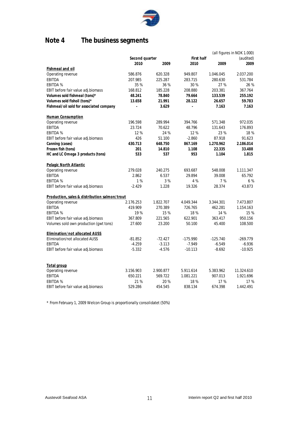

# **Note 4 The business segments**

|                                               |                |           |            |            | (all figures in NOK 1.000) |
|-----------------------------------------------|----------------|-----------|------------|------------|----------------------------|
|                                               | Second quarter |           | First half |            | (audited)                  |
|                                               | 2010           | 2009      | 2010       | 2009       | 2009                       |
| <b>Fishmeal and oil</b>                       |                |           |            |            |                            |
| Operating revenue                             | 586.876        | 620.328   | 949.807    | 1.046.045  | 2.037.200                  |
| <b>EBITDA</b>                                 | 207.985        | 225.287   | 283.715    | 280.630    | 531.784                    |
| <b>EBITDA %</b>                               | 35 %           | 36 %      | 30%        | 27 %       | 26 %                       |
| EBIT before fair value adj.biomass            | 168.812        | 185.228   | 208.880    | 203.381    | 367.764                    |
| Volumes sold fishmeal (tons)*                 | 48.241         | 78.840    | 79.664     | 133.539    | 255.192                    |
| Volumes sold fishoil (tons)*                  | 13.658         | 21.991    | 28.122     | 26.657     | 59.783                     |
| Fishmeal/oil sold for associated company      | $\overline{a}$ | 3.629     |            | 7.163      | 7.163                      |
| <b>Human Consumption</b>                      |                |           |            |            |                            |
| Operating revenue                             | 196.598        | 289.994   | 394.766    | 571.348    | 972.035                    |
| <b>EBITDA</b>                                 | 23.724         | 70.622    | 48.796     | 131.643    | 176.893                    |
| <b>EBITDA %</b>                               | 12%            | 24 %      | 12%        | 23 %       | 18 %                       |
| EBIT before fair value adj.biomass            | 426            | 51.100    | $-2.860$   | 87.918     | 91.623                     |
| Canning (cases)                               | 430.713        | 648.750   | 867.169    | 1.270.962  | 2.186.014                  |
| Frozen fish (tons)                            | 201            | 14.810    | 1.108      | 22.335     | 33.488                     |
| HC and LC Omega 3 products (tons)             | 533            | 537       | 953        | 1.104      | 1.815                      |
| Pelagic North Atlantic                        |                |           |            |            |                            |
| Operating revenue                             | 279.028        | 240.275   | 693.687    | 548.008    | 1.111.347                  |
| <b>EBITDA</b>                                 | 2.862          | 6.537     | 29.894     | 39.008     | 65.792                     |
| <b>EBITDA %</b>                               | 1%             | 3%        | 4 %        | 7%         | 6 %                        |
| EBIT before fair value adj.biomass            | $-2.429$       | 1.228     | 19.326     | 28.374     | 43.873                     |
| Production, sales & distribution salmon/trout |                |           |            |            |                            |
| Operating revenue                             | 2.176.253      | 1.822.707 | 4.049.344  | 3.344.301  | 7.473.807                  |
| <b>EBITDA</b>                                 | 419.909        | 270.389   | 726.765    | 462.281    | 1.154.163                  |
| <b>EBITDA %</b>                               | 19 %           | 15%       | 18%        | 14 %       | 15 %                       |
| EBIT before fair value adj.biomass            | 367.809        | 221.565   | 622.901    | 363.417    | 950.156                    |
| Volumes sold own production (gwt tons)        | 27.600         | 23.200    | 50.100     | 45.400     | 108.500                    |
| Elimination/not allocated AUSS                |                |           |            |            |                            |
| Elimination/not allocated AUSS                | $-81.852$      | $-72.427$ | $-175.990$ | $-125.740$ | $-269.779$                 |
| <b>EBITDA</b>                                 | $-4.259$       | $-3.113$  | $-7.949$   | $-6.549$   | $-6.936$                   |
| EBIT before fair value adj.biomass            | $-5.332$       | $-4.576$  | $-10.113$  | $-8.692$   | $-10.925$                  |
|                                               |                |           |            |            |                            |
| <u>Total group</u>                            |                |           |            |            |                            |
| Operating revenue                             | 3.156.903      | 2.900.877 | 5.911.614  | 5.383.962  | 11.324.610                 |
| <b>EBITDA</b>                                 | 650.221        | 569.722   | 1.081.221  | 907.013    | 1.921.696                  |
| <b>EBITDA %</b>                               | 21 %           | 20%       | 18%        | 17 %       | 17 %                       |
| EBIT before fair value adj.biomass            | 529.286        | 454.545   | 838.134    | 674.398    | 1.442.491                  |

\* From February 1, 2009 Welcon Group is proportionally consolidatet (50%)